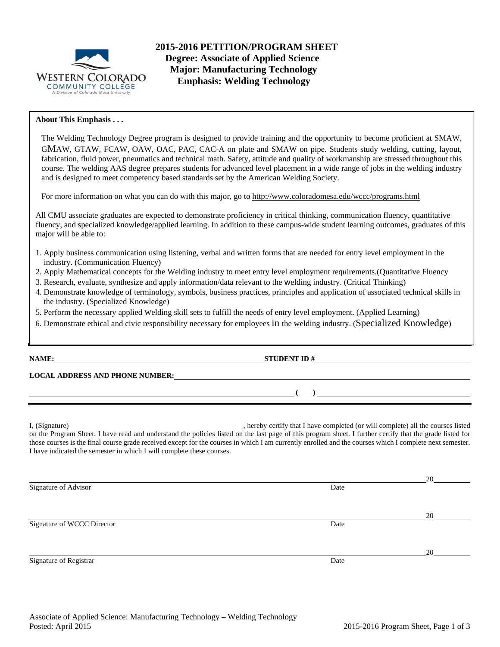

**2015-2016 PETITION/PROGRAM SHEET Degree: Associate of Applied Science Major: Manufacturing Technology Emphasis: Welding Technology** 

# **About This Emphasis . . .**

The Welding Technology Degree program is designed to provide training and the opportunity to become proficient at SMAW, GMAW, GTAW, FCAW, OAW, OAC, PAC, CAC-A on plate and SMAW on pipe. Students study welding, cutting, layout, fabrication, fluid power, pneumatics and technical math. Safety, attitude and quality of workmanship are stressed throughout this course. The welding AAS degree prepares students for advanced level placement in a wide range of jobs in the welding industry and is designed to meet competency based standards set by the American Welding Society.

For more information on what you can do with this major, go to http://www.coloradomesa.edu/wccc/programs.html

All CMU associate graduates are expected to demonstrate proficiency in critical thinking, communication fluency, quantitative fluency, and specialized knowledge/applied learning. In addition to these campus-wide student learning outcomes, graduates of this major will be able to:

- 1. Apply business communication using listening, verbal and written forms that are needed for entry level employment in the industry. (Communication Fluency)
- 2. Apply Mathematical concepts for the Welding industry to meet entry level employment requirements.(Quantitative Fluency
- 3. Research, evaluate, synthesize and apply information/data relevant to the welding industry. (Critical Thinking)
- 4. Demonstrate knowledge of terminology, symbols, business practices, principles and application of associated technical skills in the industry. (Specialized Knowledge)
- 5. Perform the necessary applied welding skill sets to fulfill the needs of entry level employment. (Applied Learning)
- 6. Demonstrate ethical and civic responsibility necessary for employees in the welding industry. (Specialized Knowledge)

**NAME: STUDENT ID #**

**LOCAL ADDRESS AND PHONE NUMBER:**

I, (Signature) , hereby certify that I have completed (or will complete) all the courses listed on the Program Sheet. I have read and understand the policies listed on the last page of this program sheet. I further certify that the grade listed for those courses is the final course grade received except for the courses in which I am currently enrolled and the courses which I complete next semester. I have indicated the semester in which I will complete these courses.

 **( )** 

|                            |      | 20 |
|----------------------------|------|----|
| Signature of Advisor       | Date |    |
|                            |      |    |
|                            |      |    |
|                            |      | 20 |
| Signature of WCCC Director | Date |    |
|                            |      |    |
|                            |      |    |
|                            |      | 20 |
| Signature of Registrar     | Date |    |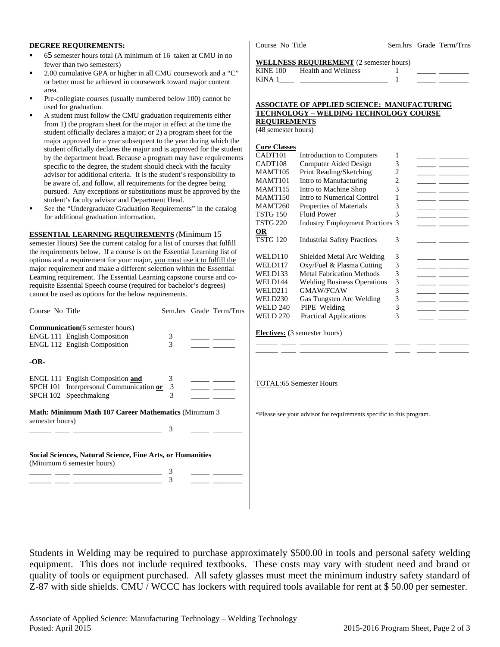### **DEGREE REQUIREMENTS:**

- 65 semester hours total (A minimum of 16 taken at CMU in no fewer than two semesters)
- 2.00 cumulative GPA or higher in all CMU coursework and a "C" or better must be achieved in coursework toward major content area.
- Pre-collegiate courses (usually numbered below 100) cannot be used for graduation.
- A student must follow the CMU graduation requirements either from 1) the program sheet for the major in effect at the time the student officially declares a major; or 2) a program sheet for the major approved for a year subsequent to the year during which the student officially declares the major and is approved for the student by the department head. Because a program may have requirements specific to the degree, the student should check with the faculty advisor for additional criteria. It is the student's responsibility to be aware of, and follow, all requirements for the degree being pursued. Any exceptions or substitutions must be approved by the student's faculty advisor and Department Head.
- See the "Undergraduate Graduation Requirements" in the catalog for additional graduation information.

**ESSENTIAL LEARNING REQUIREMENTS** (Minimum 15 semester Hours) See the current catalog for a list of courses that fulfill the requirements below. If a course is on the Essential Learning list of options and a requirement for your major, you must use it to fulfill the major requirement and make a different selection within the Essential Learning requirement. The Essential Learning capstone course and corequisite Essential Speech course (required for bachelor's degrees) cannot be used as options for the below requirements.

| Course No Title                                                                                 |                                                                                                                       |                    | Sem.hrs Grade Term/Trns |
|-------------------------------------------------------------------------------------------------|-----------------------------------------------------------------------------------------------------------------------|--------------------|-------------------------|
|                                                                                                 | <b>Communication</b> (6 semester hours)<br><b>ENGL 111 English Composition</b><br><b>ENGL 112 English Composition</b> | 3<br>$\mathcal{R}$ |                         |
| -OR-                                                                                            |                                                                                                                       |                    |                         |
|                                                                                                 | ENGL 111 English Composition and<br>SPCH 101 Interpersonal Communication or 3<br>SPCH 102 Speechmaking                | 3<br>3             |                         |
| <b>Math: Minimum Math 107 Career Mathematics (Minimum 3)</b><br>semester hours)                 |                                                                                                                       |                    |                         |
| <b>Social Sciences, Natural Science, Fine Arts, or Humanities</b><br>(Minimum 6 semester hours) |                                                                                                                       |                    |                         |

\_\_\_\_\_\_ \_\_\_\_ \_\_\_\_\_\_\_\_\_\_\_\_\_\_\_\_\_\_\_\_\_\_\_\_ 3 \_\_\_\_\_ \_\_\_\_\_\_\_\_ \_\_\_\_\_\_ \_\_\_\_ \_\_\_\_\_\_\_\_\_\_\_\_\_\_\_\_\_\_\_\_\_\_\_\_ 3 \_\_\_\_\_ \_\_\_\_\_\_\_\_

KINE 100 Health and Wellness 1 KINA  $1$   $1$ 

**WELLNESS REQUIREMENT** (2 semester hours)

#### **ASSOCIATE OF APPLIED SCIENCE: MANUFACTURING TECHNOLOGY – WELDING TECHNOLOGY COURSE REQUIREMENTS**

(48 semester hours)

# **Core Classes**

| CADT <sub>101</sub> | Introduction to Computers              | 1 |  |
|---------------------|----------------------------------------|---|--|
| CADT <sub>108</sub> | Computer Aided Design                  | 3 |  |
| MAMT105             | Print Reading/Sketching                | 2 |  |
| <b>MAMT101</b>      | Intro to Manufacturing                 | 2 |  |
| <b>MAMT115</b>      | Intro to Machine Shop                  | 3 |  |
| <b>MAMT150</b>      | Intro to Numerical Control             | 1 |  |
| <b>MAMT260</b>      | Properties of Materials                | 3 |  |
| <b>TSTG 150</b>     | <b>Fluid Power</b>                     | 3 |  |
| <b>TSTG 220</b>     | <b>Industry Employment Practices 3</b> |   |  |
| 0R                  |                                        |   |  |
| TSTG 120            | <b>Industrial Safety Practices</b>     | 3 |  |
|                     |                                        |   |  |
| WELD110             | Shielded Metal Arc Welding             | 3 |  |
| WELD117             | Oxy/Fuel & Plasma Cutting              | 3 |  |
| WELD133             | <b>Metal Fabrication Methods</b>       | 3 |  |
| <b>WELD144</b>      | <b>Welding Business Operations</b>     | 3 |  |
| WELD211             | GMAW/FCAW                              | 3 |  |
| WELD230             | Gas Tungsten Arc Welding               | 3 |  |
| <b>WELD 240</b>     | PIPE Welding                           | 3 |  |
| <b>WELD 270</b>     | <b>Practical Applications</b>          | 3 |  |
|                     |                                        |   |  |
|                     | <b>Electives:</b> (3 semester hours)   |   |  |
|                     |                                        |   |  |
|                     |                                        |   |  |

TOTAL:65 Semester Hours

\*Please see your advisor for requirements specific to this program.

Students in Welding may be required to purchase approximately \$500.00 in tools and personal safety welding equipment. This does not include required textbooks. These costs may vary with student need and brand or quality of tools or equipment purchased. All safety glasses must meet the minimum industry safety standard of Z-87 with side shields. CMU / WCCC has lockers with required tools available for rent at \$ 50.00 per semester.

Course No Title Sem.hrs Grade Term/Trns